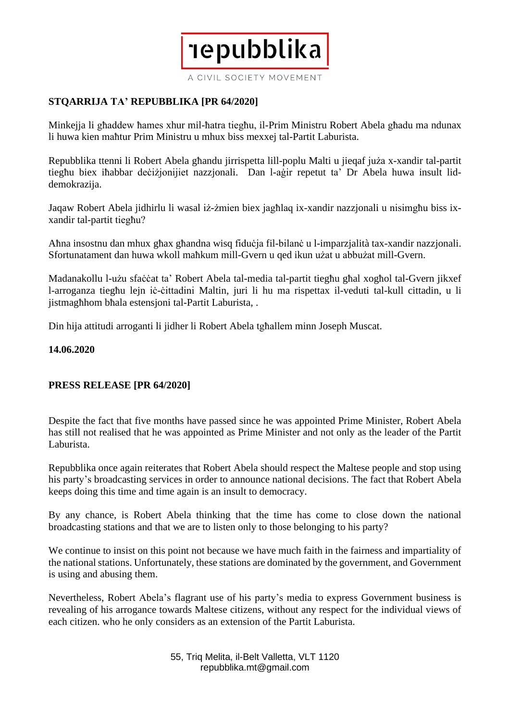A CIVIL SOCIETY MOVEMENT

**Tepubblika** 

## **STQARRIJA TA' REPUBBLIKA [PR 64/2020]**

Minkejja li għaddew ħames xhur mil-ħatra tiegħu, il-Prim Ministru Robert Abela għadu ma ndunax li huwa kien maħtur Prim Ministru u mhux biss mexxej tal-Partit Laburista.

Repubblika ttenni li Robert Abela għandu jirrispetta lill-poplu Malti u jieqaf juża x-xandir tal-partit tiegħu biex iħabbar deċiżjonijiet nazzjonali. Dan l-aġir repetut ta' Dr Abela huwa insult liddemokrazija.

Jaqaw Robert Abela jidhirlu li wasal iż-żmien biex jagħlaq ix-xandir nazzjonali u nisimgħu biss ixxandir tal-partit tiegħu?

Aħna insostnu dan mhux għax għandna wisq fiduċja fil-bilanċ u l-imparzjalità tax-xandir nazzjonali. Sfortunatament dan huwa wkoll maħkum mill-Gvern u qed ikun użat u abbużat mill-Gvern.

Madanakollu l-użu sfaċċat ta' Robert Abela tal-media tal-partit tiegħu għal xogħol tal-Gvern jikxef l-arroganza tiegħu lejn iċ-ċittadini Maltin, juri li hu ma rispettax il-veduti tal-kull cittadin, u li jistmagħhom bħala estensjoni tal-Partit Laburista, .

Din hija attitudi arroganti li jidher li Robert Abela tgħallem minn Joseph Muscat.

## **14.06.2020**

## **PRESS RELEASE [PR 64/2020]**

Despite the fact that five months have passed since he was appointed Prime Minister, Robert Abela has still not realised that he was appointed as Prime Minister and not only as the leader of the Partit Laburista.

Repubblika once again reiterates that Robert Abela should respect the Maltese people and stop using his party's broadcasting services in order to announce national decisions. The fact that Robert Abela keeps doing this time and time again is an insult to democracy.

By any chance, is Robert Abela thinking that the time has come to close down the national broadcasting stations and that we are to listen only to those belonging to his party?

We continue to insist on this point not because we have much faith in the fairness and impartiality of the nationalstations. Unfortunately, these stations are dominated by the government, and Government is using and abusing them.

Nevertheless, Robert Abela's flagrant use of his party's media to express Government business is revealing of his arrogance towards Maltese citizens, without any respect for the individual views of each citizen. who he only considers as an extension of the Partit Laburista.

> 55, Triq Melita, il-Belt Valletta, VLT 1120 repubblika.mt@gmail.com